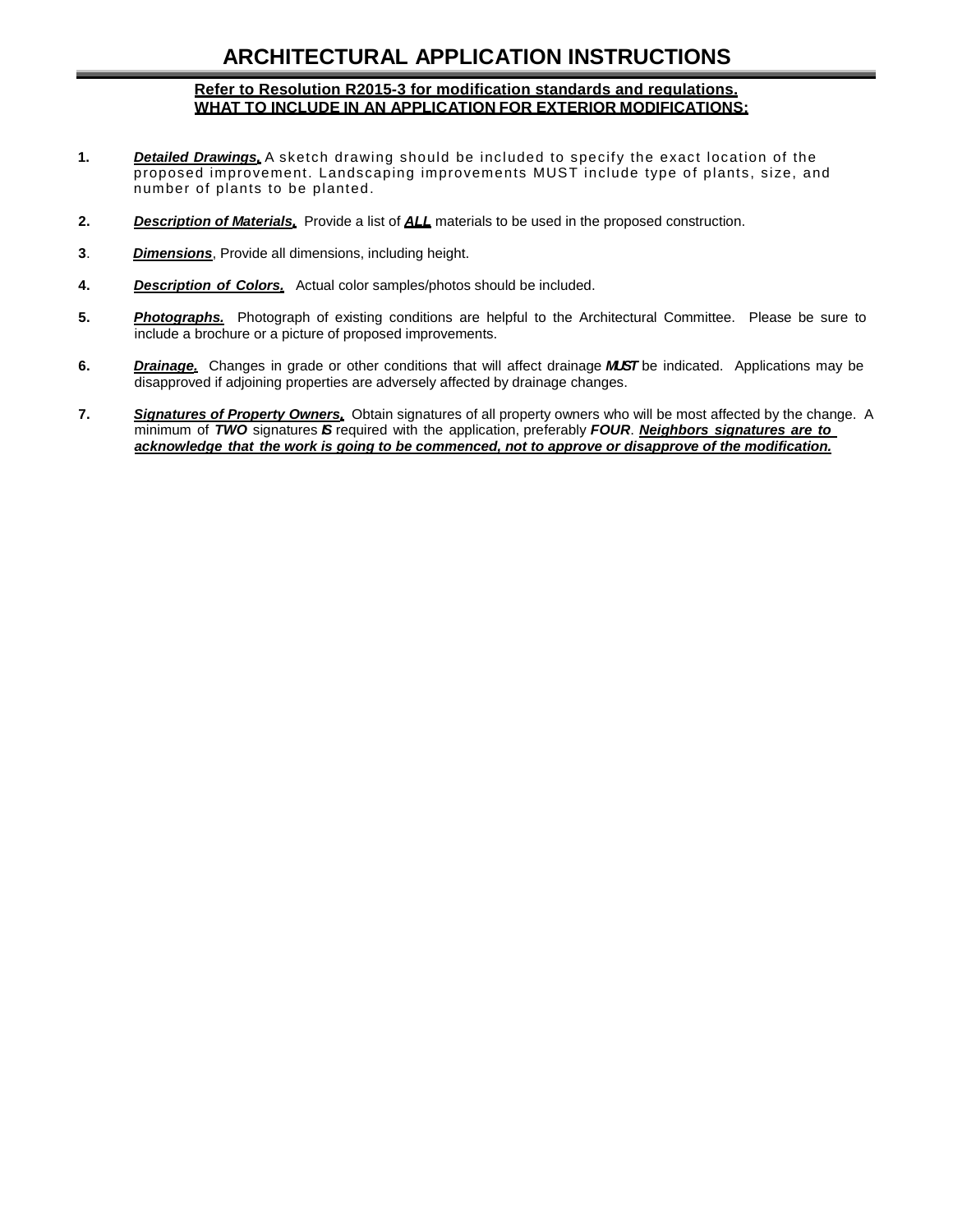## **ARCHITECTURAL APPLICATION INSTRUCTIONS**

## **Refer to Resolution R2015-3 for modification standards and regulations. WHAT TO INCLUDE IN AN APPLICATION FOR EXTERIOR MODIFICATIONS:**

- **1.** *Detailed Drawings.* A sketch drawing should be included to specify the exact location of the proposed improvement. Landscaping improvements MUST include type of plants, size, and number of plants to be planted.
- **2.** *Description of Materials.* Provide a list of *ALL* materials to be used in the proposed construction.
- **3**. *Dimensions*, Provide all dimensions, including height.
- **4.** *Description of Colors.* Actual color samples/photos should be included.
- **5.** *Photographs.* Photograph of existing conditions are helpful to the Architectural Committee. Please be sure to include a brochure or a picture of proposed improvements.
- **6.** *Drainage.* Changes in grade or other conditions that will affect drainage *MUST* be indicated. Applications may be disapproved if adjoining properties are adversely affected by drainage changes.
- **7.** *Signatures of Property Owners.* Obtain signatures of all property owners who will be most affected by the change. A minimum of *TWO* signatures *IS* required with the application, preferably *FOUR*. *Neighbors signatures are to acknowledge that the work is going to be commenced, not to approve or disapprove of the modification.*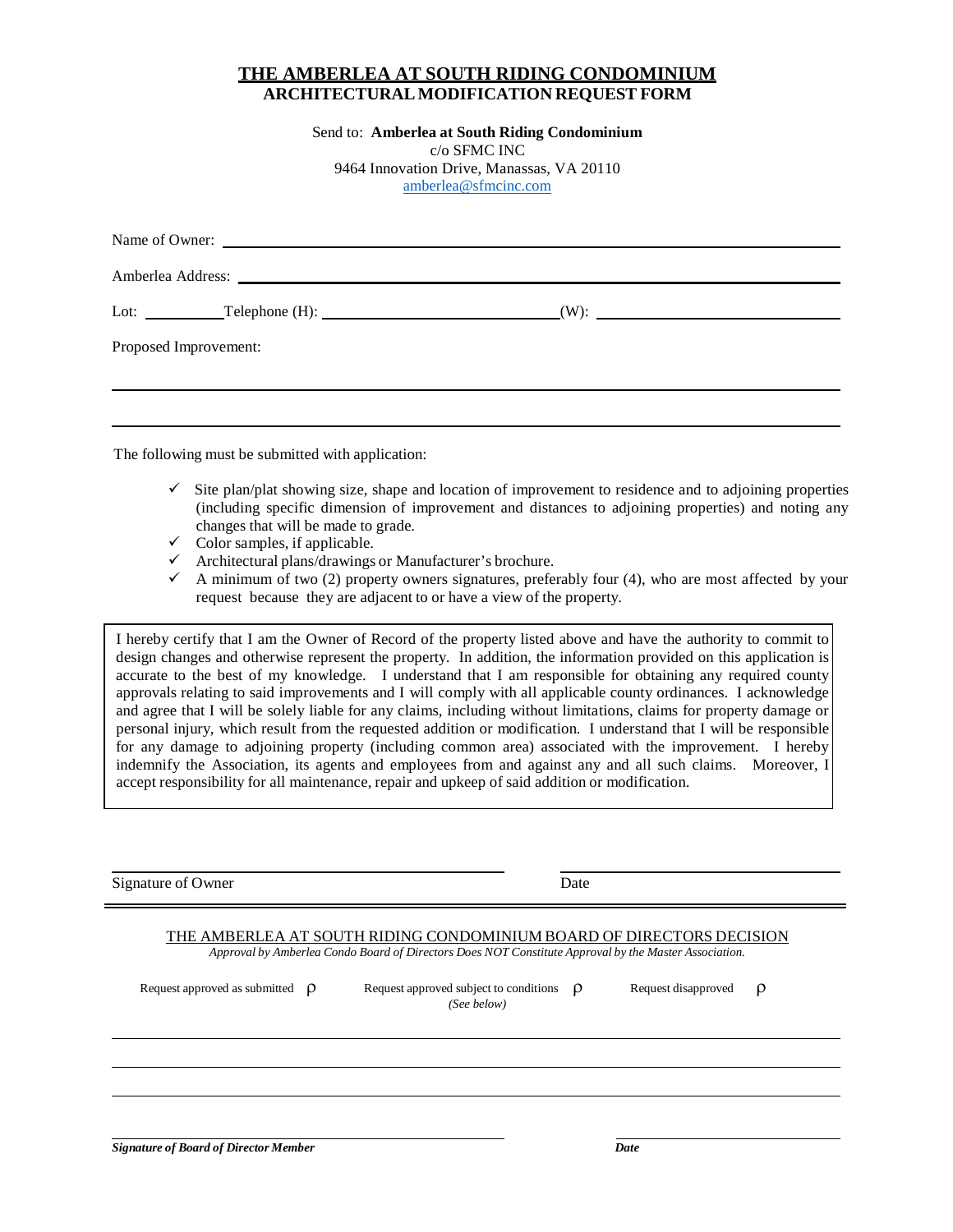## **THE AMBERLEA AT SOUTH RIDING CONDOMINIUM ARCHITECTURALMODIFICATION REQUEST FORM**

Send to: **Amberlea at South Riding Condominium** c/o SFMC INC 9464 Innovation Drive, Manassas, VA 20110 [amberlea@sfmcinc.com](mailto:amberlea@sfmcinc.com)

|                       | Name of Owner:    |                                      |  |  |  |
|-----------------------|-------------------|--------------------------------------|--|--|--|
|                       | Amberlea Address: |                                      |  |  |  |
|                       |                   | Lot: <u>Telephone</u> (H): (W): (W): |  |  |  |
| Proposed Improvement: |                   |                                      |  |  |  |
|                       |                   |                                      |  |  |  |
|                       |                   |                                      |  |  |  |

The following must be submitted with application:

- $\checkmark$  Site plan/plat showing size, shape and location of improvement to residence and to adjoining properties (including specific dimension of improvement and distances to adjoining properties) and noting any changes that will be made to grade.
- $\checkmark$  Color samples, if applicable.
- $\checkmark$  Architectural plans/drawings or Manufacturer's brochure.
- $\checkmark$  A minimum of two (2) property owners signatures, preferably four (4), who are most affected by your request because they are adjacent to or have a view of the property.

I hereby certify that I am the Owner of Record of the property listed above and have the authority to commit to design changes and otherwise represent the property. In addition, the information provided on this application is accurate to the best of my knowledge. I understand that I am responsible for obtaining any required county approvals relating to said improvements and I will comply with all applicable county ordinances. I acknowledge and agree that I will be solely liable for any claims, including without limitations, claims for property damage or personal injury, which result from the requested addition or modification. I understand that I will be responsible for any damage to adjoining property (including common area) associated with the improvement. I hereby indemnify the Association, its agents and employees from and against any and all such claims. Moreover, I accept responsibility for all maintenance, repair and upkeep of said addition or modification.

Signature of Owner Date

## THE AMBERLEA AT SOUTH RIDING CONDOMINIUM BOARD OF DIRECTORS DECISION

*Approval by Amberlea Condo Board of Directors Does NOT Constitute Approval by the Master Association.*

| Request approved as submitted $\rho$ | Request approved subject to conditions $\rho$<br>(See below) | Request disapproved | $\rho$ |
|--------------------------------------|--------------------------------------------------------------|---------------------|--------|
|                                      |                                                              |                     |        |
|                                      |                                                              |                     |        |
|                                      |                                                              |                     |        |

*Signature of Board of Director Member* Date Date Date